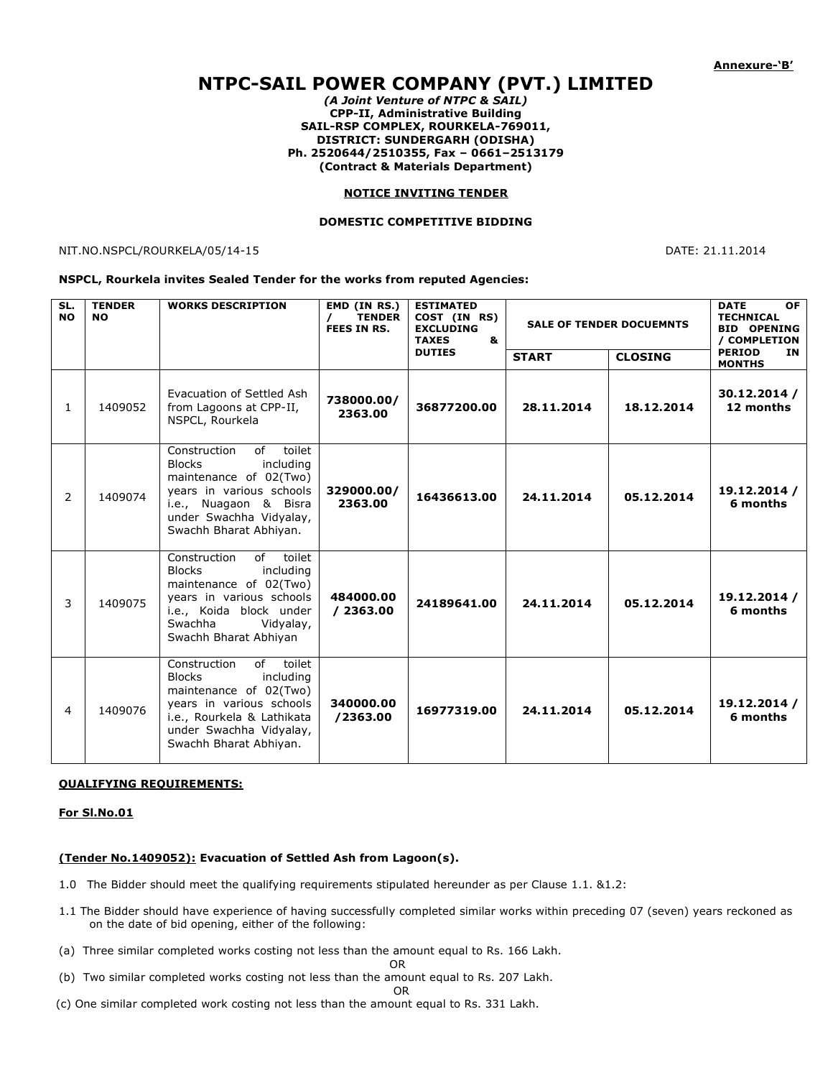# **NTPC-SAIL POWER COMPANY (PVT.) LIMITED**

*(A Joint Venture of NTPC & SAIL)* **CPP-II, Administrative Building SAIL-RSP COMPLEX, ROURKELA-769011, DISTRICT: SUNDERGARH (ODISHA) Ph. 2520644/2510355, Fax – 0661–2513179 (Contract & Materials Department)**

#### **NOTICE INVITING TENDER**

#### **DOMESTIC COMPETITIVE BIDDING**

NIT.NO.NSPCL/ROURKELA/05/14-15 DATE: 21.11.2014

#### **NSPCL, Rourkela invites Sealed Tender for the works from reputed Agencies:**

| SL.<br><b>NO</b> | <b>TENDER</b><br><b>NO</b> | <b>WORKS DESCRIPTION</b>                                                                                                                                                                            | EMD (IN RS.)<br><b>TENDER</b><br><b>FEES IN RS.</b> | <b>ESTIMATED</b><br>COST (IN RS)<br><b>EXCLUDING</b><br><b>TAXES</b><br>&<br><b>DUTIES</b> | <b>SALE OF TENDER DOCUEMNTS</b> |                | <b>OF</b><br><b>DATE</b><br><b>TECHNICAL</b><br><b>BID OPENING</b><br>/ COMPLETION |
|------------------|----------------------------|-----------------------------------------------------------------------------------------------------------------------------------------------------------------------------------------------------|-----------------------------------------------------|--------------------------------------------------------------------------------------------|---------------------------------|----------------|------------------------------------------------------------------------------------|
|                  |                            |                                                                                                                                                                                                     |                                                     |                                                                                            | <b>START</b>                    | <b>CLOSING</b> | <b>PERIOD</b><br><b>IN</b><br><b>MONTHS</b>                                        |
| 1                | 1409052                    | Evacuation of Settled Ash<br>from Lagoons at CPP-II,<br>NSPCL, Rourkela                                                                                                                             | 738000.00/<br>2363.00                               | 36877200.00                                                                                | 28.11.2014                      | 18.12.2014     | 30.12.2014 /<br>12 months                                                          |
| 2                | 1409074                    | of<br>toilet<br>Construction<br><b>Blocks</b><br>including<br>maintenance of 02(Two)<br>years in various schools<br>i.e., Nuagaon & Bisra<br>under Swachha Vidyalay,<br>Swachh Bharat Abhiyan.      | 329000.00/<br>2363.00                               | 16436613.00                                                                                | 24.11.2014                      | 05.12.2014     | 19.12.2014 /<br>6 months                                                           |
| 3                | 1409075                    | Construction<br>toilet<br>of<br><b>Blocks</b><br>including<br>maintenance of 02(Two)<br>years in various schools<br>i.e., Koida block under<br>Swachha<br>Vidyalay,<br>Swachh Bharat Abhiyan        | 484000.00<br>/2363.00                               | 24189641.00                                                                                | 24.11.2014                      | 05.12.2014     | 19.12.2014 /<br>6 months                                                           |
| 4                | 1409076                    | Construction<br>of<br>toilet<br><b>Blocks</b><br>including<br>maintenance of 02(Two)<br>years in various schools<br>i.e., Rourkela & Lathikata<br>under Swachha Vidyalay,<br>Swachh Bharat Abhiyan. | 340000.00<br>/2363.00                               | 16977319.00                                                                                | 24.11.2014                      | 05.12.2014     | 19.12.2014 /<br>6 months                                                           |

## **QUALIFYING REQUIREMENTS:**

# **For Sl.No.01**

## **(Tender No.1409052): Evacuation of Settled Ash from Lagoon(s).**

- 1.0 The Bidder should meet the qualifying requirements stipulated hereunder as per Clause 1.1. &1.2:
- 1.1 The Bidder should have experience of having successfully completed similar works within preceding 07 (seven) years reckoned as on the date of bid opening, either of the following:
- (a) Three similar completed works costing not less than the amount equal to Rs. 166 Lakh.

$$
\mathsf{OR} = \mathsf{OR}
$$

- (b) Two similar completed works costing not less than the amount equal to Rs. 207 Lakh.
	- **OR** Service of the state of the state of the state of the state of the state of the state of the state of the state of the state of the state of the state of the state of the state of the state of the state of the state o
- (c) One similar completed work costing not less than the amount equal to Rs. 331 Lakh.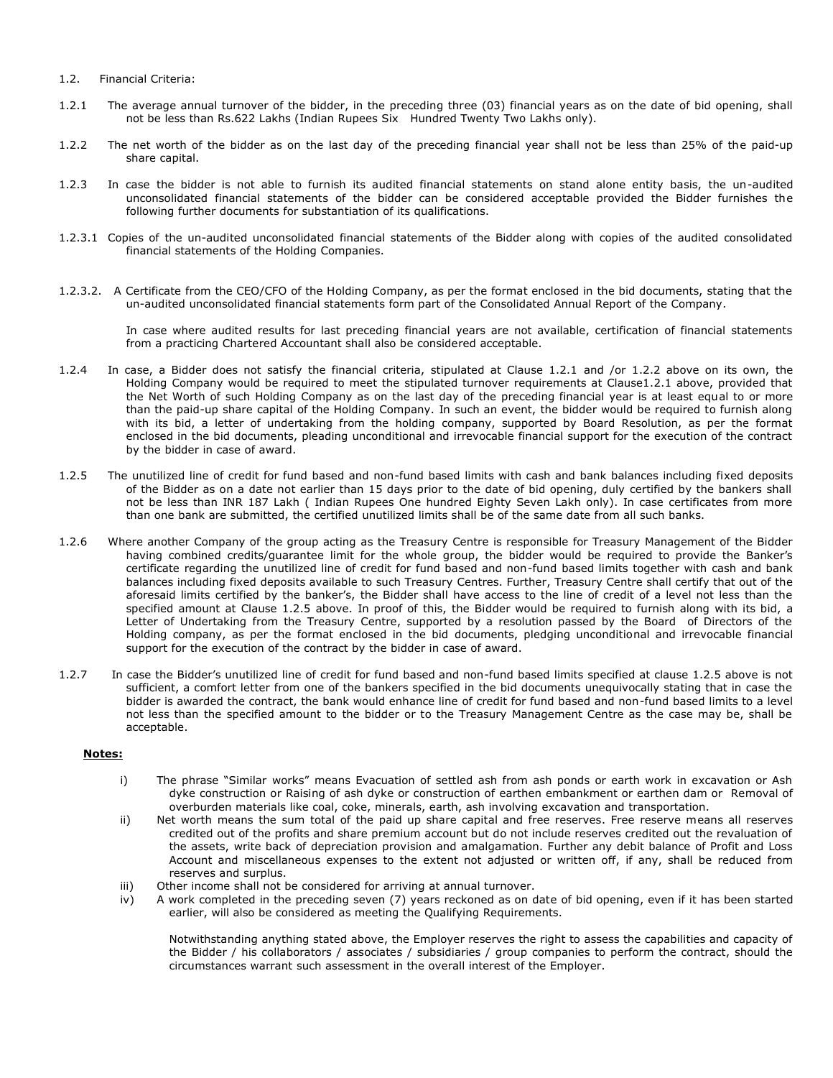- 1.2. Financial Criteria:
- 1.2.1 The average annual turnover of the bidder, in the preceding three (03) financial years as on the date of bid opening, shall not be less than Rs.622 Lakhs (Indian Rupees Six Hundred Twenty Two Lakhs only).
- 1.2.2 The net worth of the bidder as on the last day of the preceding financial year shall not be less than 25% of the paid-up share capital.
- 1.2.3 In case the bidder is not able to furnish its audited financial statements on stand alone entity basis, the un-audited unconsolidated financial statements of the bidder can be considered acceptable provided the Bidder furnishes the following further documents for substantiation of its qualifications.
- 1.2.3.1 Copies of the un-audited unconsolidated financial statements of the Bidder along with copies of the audited consolidated financial statements of the Holding Companies.
- 1.2.3.2. A Certificate from the CEO/CFO of the Holding Company, as per the format enclosed in the bid documents, stating that the un-audited unconsolidated financial statements form part of the Consolidated Annual Report of the Company.

In case where audited results for last preceding financial years are not available, certification of financial statements from a practicing Chartered Accountant shall also be considered acceptable.

- 1.2.4 In case, a Bidder does not satisfy the financial criteria, stipulated at Clause 1.2.1 and /or 1.2.2 above on its own, the Holding Company would be required to meet the stipulated turnover requirements at Clause1.2.1 above, provided that the Net Worth of such Holding Company as on the last day of the preceding financial year is at least equal to or more than the paid-up share capital of the Holding Company. In such an event, the bidder would be required to furnish along with its bid, a letter of undertaking from the holding company, supported by Board Resolution, as per the format enclosed in the bid documents, pleading unconditional and irrevocable financial support for the execution of the contract by the bidder in case of award.
- 1.2.5 The unutilized line of credit for fund based and non-fund based limits with cash and bank balances including fixed deposits of the Bidder as on a date not earlier than 15 days prior to the date of bid opening, duly certified by the bankers shall not be less than INR 187 Lakh ( Indian Rupees One hundred Eighty Seven Lakh only). In case certificates from more than one bank are submitted, the certified unutilized limits shall be of the same date from all such banks.
- 1.2.6 Where another Company of the group acting as the Treasury Centre is responsible for Treasury Management of the Bidder having combined credits/guarantee limit for the whole group, the bidder would be required to provide the Banker's certificate regarding the unutilized line of credit for fund based and non-fund based limits together with cash and bank balances including fixed deposits available to such Treasury Centres. Further, Treasury Centre shall certify that out of the aforesaid limits certified by the banker's, the Bidder shall have access to the line of credit of a level not less than the specified amount at Clause 1.2.5 above. In proof of this, the Bidder would be required to furnish along with its bid, a Letter of Undertaking from the Treasury Centre, supported by a resolution passed by the Board of Directors of the Holding company, as per the format enclosed in the bid documents, pledging unconditional and irrevocable financial support for the execution of the contract by the bidder in case of award.
- 1.2.7 In case the Bidder's unutilized line of credit for fund based and non-fund based limits specified at clause 1.2.5 above is not sufficient, a comfort letter from one of the bankers specified in the bid documents unequivocally stating that in case the bidder is awarded the contract, the bank would enhance line of credit for fund based and non-fund based limits to a level not less than the specified amount to the bidder or to the Treasury Management Centre as the case may be, shall be acceptable.

## **Notes:**

- i) The phrase "Similar works" means Evacuation of settled ash from ash ponds or earth work in excavation or Ash dyke construction or Raising of ash dyke or construction of earthen embankment or earthen dam or Removal of overburden materials like coal, coke, minerals, earth, ash involving excavation and transportation.
- ii) Net worth means the sum total of the paid up share capital and free reserves. Free reserve means all reserves credited out of the profits and share premium account but do not include reserves credited out the revaluation of the assets, write back of depreciation provision and amalgamation. Further any debit balance of Profit and Loss Account and miscellaneous expenses to the extent not adjusted or written off, if any, shall be reduced from reserves and surplus.
- iii) Other income shall not be considered for arriving at annual turnover.
- iv) A work completed in the preceding seven (7) years reckoned as on date of bid opening, even if it has been started earlier, will also be considered as meeting the Qualifying Requirements.

Notwithstanding anything stated above, the Employer reserves the right to assess the capabilities and capacity of the Bidder / his collaborators / associates / subsidiaries / group companies to perform the contract, should the circumstances warrant such assessment in the overall interest of the Employer.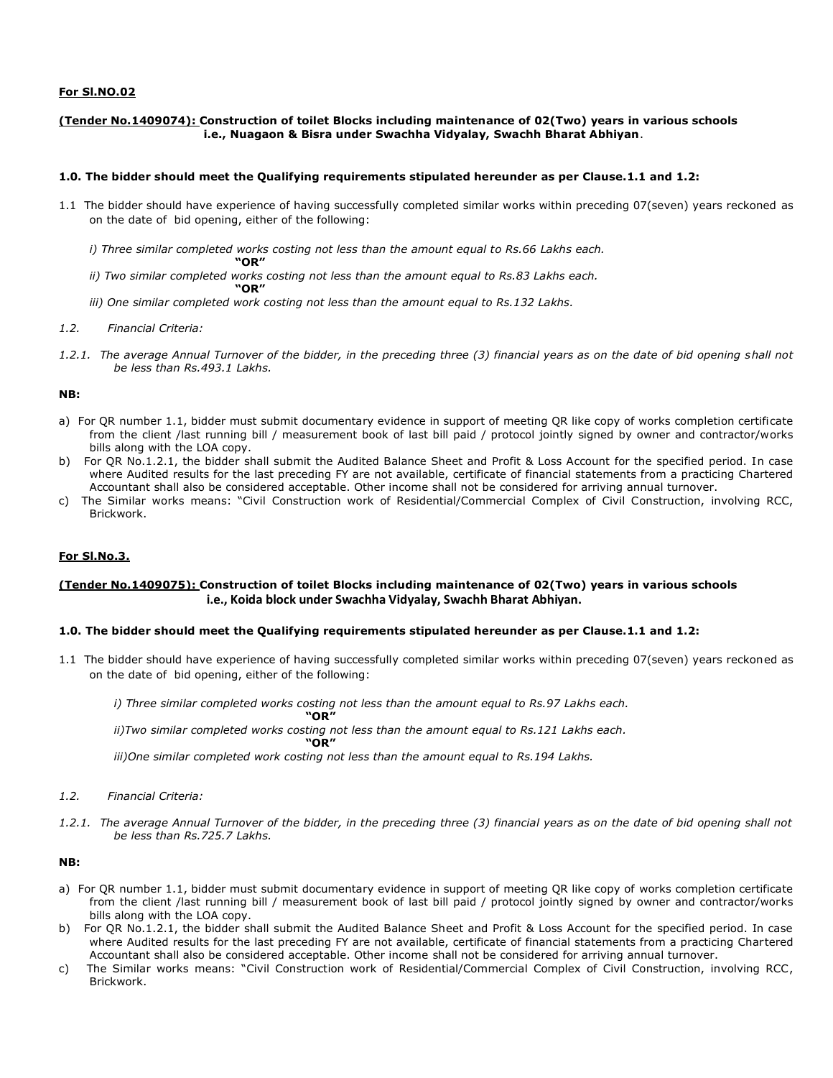# **For Sl.NO.02**

## **(Tender No.1409074): Construction of toilet Blocks including maintenance of 02(Two) years in various schools i.e., Nuagaon & Bisra under Swachha Vidyalay, Swachh Bharat Abhiyan**.

## **1.0. The bidder should meet the Qualifying requirements stipulated hereunder as per Clause.1.1 and 1.2:**

- 1.1 The bidder should have experience of having successfully completed similar works within preceding 07(seven) years reckoned as on the date of bid opening, either of the following:
	- *i*) Three similar completed works costing not less than the amount equal to Rs.66 Lakhs each.
	- **"OR"** *ii)* Two similar completed works costing not less than the amount equal to Rs.83 Lakhs each. **"OR"**
	- *iii) One similar completed work costing not less than the amount equal to Rs.132 Lakhs.*

## *1.2. Financial Criteria:*

*1.2.1. The average Annual Turnover of the bidder, in the preceding three (3) financial years as on the date of bid opening shall not be less than Rs.493.1 Lakhs.*

#### **NB:**

- a) For QR number 1.1, bidder must submit documentary evidence in support of meeting QR like copy of works completion certificate from the client /last running bill / measurement book of last bill paid / protocol jointly signed by owner and contractor/works bills along with the LOA copy.
- b) For QR No.1.2.1, the bidder shall submit the Audited Balance Sheet and Profit & Loss Account for the specified period. In case where Audited results for the last preceding FY are not available, certificate of financial statements from a practicing Chartered Accountant shall also be considered acceptable. Other income shall not be considered for arriving annual turnover.
- c) The Similar works means: "Civil Construction work of Residential/Commercial Complex of Civil Construction, involving RCC, Brickwork.

## **For Sl.No.3.**

# **(Tender No.1409075): Construction of toilet Blocks including maintenance of 02(Two) years in various schools i.e., Koida block under Swachha Vidyalay, Swachh Bharat Abhiyan.**

#### **1.0. The bidder should meet the Qualifying requirements stipulated hereunder as per Clause.1.1 and 1.2:**

1.1 The bidder should have experience of having successfully completed similar works within preceding 07(seven) years reckoned as on the date of bid opening, either of the following:

*i) Three similar completed works costing not less than the amount equal to Rs.97 Lakhs each.* **Produs** 

**"OR"** *ii)Two similar completed works costing not less than the amount equal to Rs.121 Lakhs each.* 

**"OR"**

*iii)One similar completed work costing not less than the amount equal to Rs.194 Lakhs.*

## *1.2. Financial Criteria:*

*1.2.1. The average Annual Turnover of the bidder, in the preceding three (3) financial years as on the date of bid opening shall not be less than Rs.725.7 Lakhs.*

#### **NB:**

- a) For QR number 1.1, bidder must submit documentary evidence in support of meeting QR like copy of works completion certificate from the client /last running bill / measurement book of last bill paid / protocol jointly signed by owner and contractor/works bills along with the LOA copy.
- b) For QR No.1.2.1, the bidder shall submit the Audited Balance Sheet and Profit & Loss Account for the specified period. In case where Audited results for the last preceding FY are not available, certificate of financial statements from a practicing Chartered Accountant shall also be considered acceptable. Other income shall not be considered for arriving annual turnover.
- c) The Similar works means: "Civil Construction work of Residential/Commercial Complex of Civil Construction, involving RCC, Brickwork.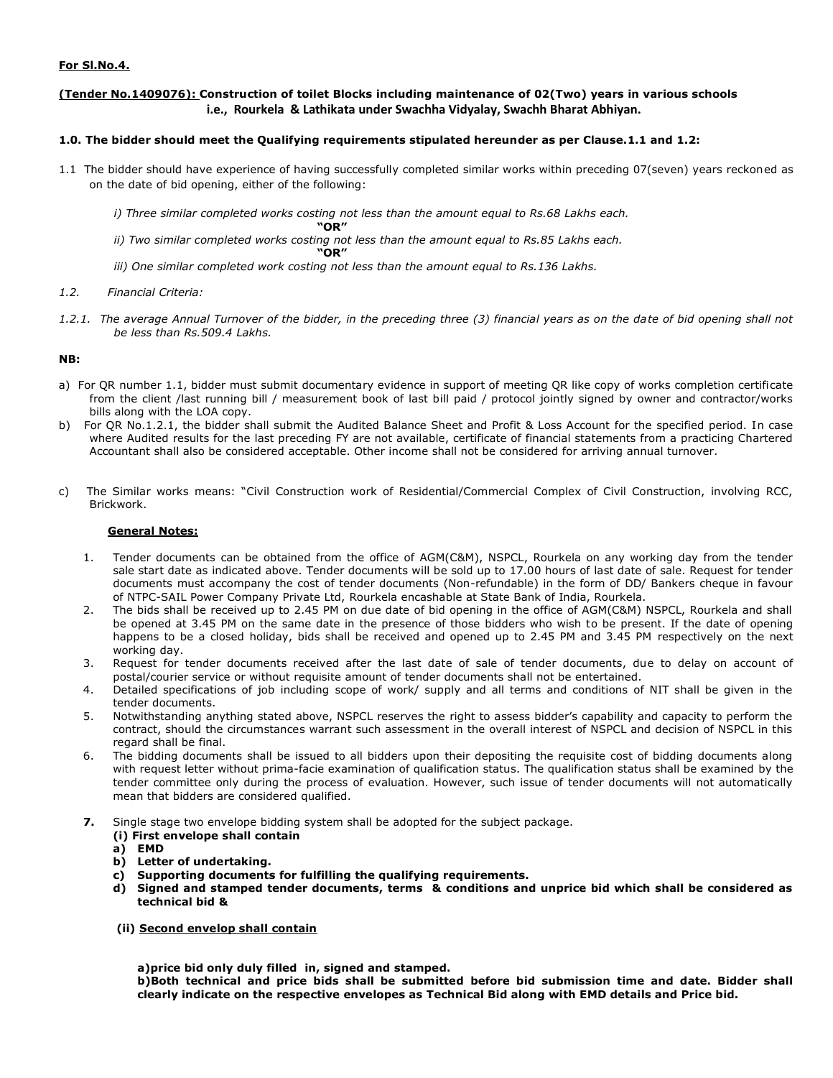# **For Sl.No.4.**

# **(Tender No.1409076): Construction of toilet Blocks including maintenance of 02(Two) years in various schools i.e., Rourkela & Lathikata under Swachha Vidyalay, Swachh Bharat Abhiyan.**

# **1.0. The bidder should meet the Qualifying requirements stipulated hereunder as per Clause.1.1 and 1.2:**

- 1.1 The bidder should have experience of having successfully completed similar works within preceding 07(seven) years reckoned as on the date of bid opening, either of the following:
	- *i)* Three similar completed works costing not less than the amount equal to Rs.68 Lakhs each.
	- **"OR"** *ii)* Two similar completed works costing not less than the amount equal to Rs.85 Lakhs each. **"OR"**
		-
	- *iii) One similar completed work costing not less than the amount equal to Rs.136 Lakhs.*
- *1.2. Financial Criteria:*
- *1.2.1. The average Annual Turnover of the bidder, in the preceding three (3) financial years as on the date of bid opening shall not be less than Rs.509.4 Lakhs.*

# **NB:**

- a) For QR number 1.1, bidder must submit documentary evidence in support of meeting QR like copy of works completion certificate from the client /last running bill / measurement book of last bill paid / protocol jointly signed by owner and contractor/works bills along with the LOA copy.
- b) For QR No.1.2.1, the bidder shall submit the Audited Balance Sheet and Profit & Loss Account for the specified period. In case where Audited results for the last preceding FY are not available, certificate of financial statements from a practicing Chartered Accountant shall also be considered acceptable. Other income shall not be considered for arriving annual turnover.
- c) The Similar works means: "Civil Construction work of Residential/Commercial Complex of Civil Construction, involving RCC, Brickwork.

# **General Notes:**

- 1. Tender documents can be obtained from the office of AGM(C&M), NSPCL, Rourkela on any working day from the tender sale start date as indicated above. Tender documents will be sold up to 17.00 hours of last date of sale. Request for tender documents must accompany the cost of tender documents (Non-refundable) in the form of DD/ Bankers cheque in favour of NTPC-SAIL Power Company Private Ltd, Rourkela encashable at State Bank of India, Rourkela.
- 2. The bids shall be received up to 2.45 PM on due date of bid opening in the office of AGM(C&M) NSPCL, Rourkela and shall be opened at 3.45 PM on the same date in the presence of those bidders who wish to be present. If the date of opening happens to be a closed holiday, bids shall be received and opened up to 2.45 PM and 3.45 PM respectively on the next working day.
- 3. Request for tender documents received after the last date of sale of tender documents, due to delay on account of postal/courier service or without requisite amount of tender documents shall not be entertained.
- 4. Detailed specifications of job including scope of work/ supply and all terms and conditions of NIT shall be given in the tender documents.
- 5. Notwithstanding anything stated above, NSPCL reserves the right to assess bidder's capability and capacity to perform the contract, should the circumstances warrant such assessment in the overall interest of NSPCL and decision of NSPCL in this regard shall be final.
- 6. The bidding documents shall be issued to all bidders upon their depositing the requisite cost of bidding documents along with request letter without prima-facie examination of qualification status. The qualification status shall be examined by the tender committee only during the process of evaluation. However, such issue of tender documents will not automatically mean that bidders are considered qualified.
- **7.** Single stage two envelope bidding system shall be adopted for the subject package.
	- **(i) First envelope shall contain**
	- **a) EMD**
	- **b) Letter of undertaking.**
	- **c) Supporting documents for fulfilling the qualifying requirements.**
	- **d) Signed and stamped tender documents, terms & conditions and unprice bid which shall be considered as technical bid &**
	- **(ii) Second envelop shall contain**

**a)price bid only duly filled in, signed and stamped.** 

**b)Both technical and price bids shall be submitted before bid submission time and date. Bidder shall clearly indicate on the respective envelopes as Technical Bid along with EMD details and Price bid.**